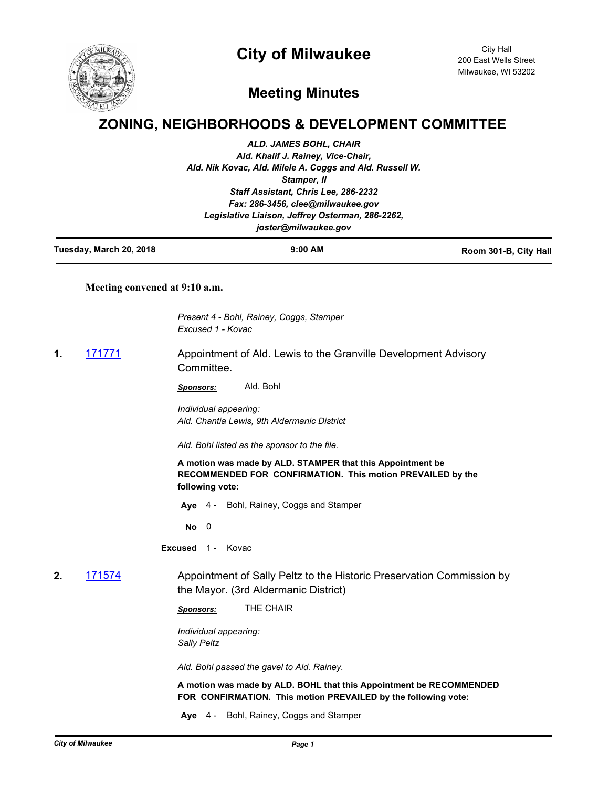## **City of Milwaukee**



City Hall 200 East Wells Street Milwaukee, WI 53202

## **Meeting Minutes**

## **ZONING, NEIGHBORHOODS & DEVELOPMENT COMMITTEE**

|    |                               | <b>ALD. JAMES BOHL, CHAIR</b><br>Ald. Khalif J. Rainey, Vice-Chair,<br>Ald. Nik Kovac, Ald. Milele A. Coggs and Ald. Russell W.<br>Stamper, II<br>Staff Assistant, Chris Lee, 286-2232<br>Fax: 286-3456, clee@milwaukee.gov<br>Legislative Liaison, Jeffrey Osterman, 286-2262,<br>joster@milwaukee.gov |                       |
|----|-------------------------------|---------------------------------------------------------------------------------------------------------------------------------------------------------------------------------------------------------------------------------------------------------------------------------------------------------|-----------------------|
|    | Tuesday, March 20, 2018       | 9:00 AM                                                                                                                                                                                                                                                                                                 | Room 301-B, City Hall |
|    | Meeting convened at 9:10 a.m. |                                                                                                                                                                                                                                                                                                         |                       |
|    |                               | Present 4 - Bohl, Rainey, Coggs, Stamper<br>Excused 1 - Kovac                                                                                                                                                                                                                                           |                       |
| 1. | <u>171771</u>                 | Appointment of Ald. Lewis to the Granville Development Advisory<br>Committee.                                                                                                                                                                                                                           |                       |
|    |                               | Ald. Bohl<br>Sponsors:                                                                                                                                                                                                                                                                                  |                       |
|    |                               | Individual appearing:<br>Ald. Chantia Lewis, 9th Aldermanic District                                                                                                                                                                                                                                    |                       |
|    |                               | Ald. Bohl listed as the sponsor to the file.                                                                                                                                                                                                                                                            |                       |
|    |                               | A motion was made by ALD. STAMPER that this Appointment be<br>RECOMMENDED FOR CONFIRMATION. This motion PREVAILED by the<br>following vote:                                                                                                                                                             |                       |
|    |                               | Aye 4 - Bohl, Rainey, Coggs and Stamper                                                                                                                                                                                                                                                                 |                       |
|    |                               | $No$ 0                                                                                                                                                                                                                                                                                                  |                       |
|    |                               | <b>Excused</b> 1 - Kovac                                                                                                                                                                                                                                                                                |                       |
| 2. | 171574                        | Appointment of Sally Peltz to the Historic Preservation Commission by<br>the Mayor. (3rd Aldermanic District)                                                                                                                                                                                           |                       |
|    |                               | THE CHAIR<br>Sponsors:                                                                                                                                                                                                                                                                                  |                       |
|    |                               | Individual appearing:<br><b>Sally Peltz</b>                                                                                                                                                                                                                                                             |                       |
|    |                               | Ald. Bohl passed the gavel to Ald. Rainey.                                                                                                                                                                                                                                                              |                       |
|    |                               | A motion was made by ALD. BOHL that this Appointment be RECOMMENDED                                                                                                                                                                                                                                     |                       |

**FOR CONFIRMATION. This motion PREVAILED by the following vote:**

**Aye** 4 - Bohl, Rainey, Coggs and Stamper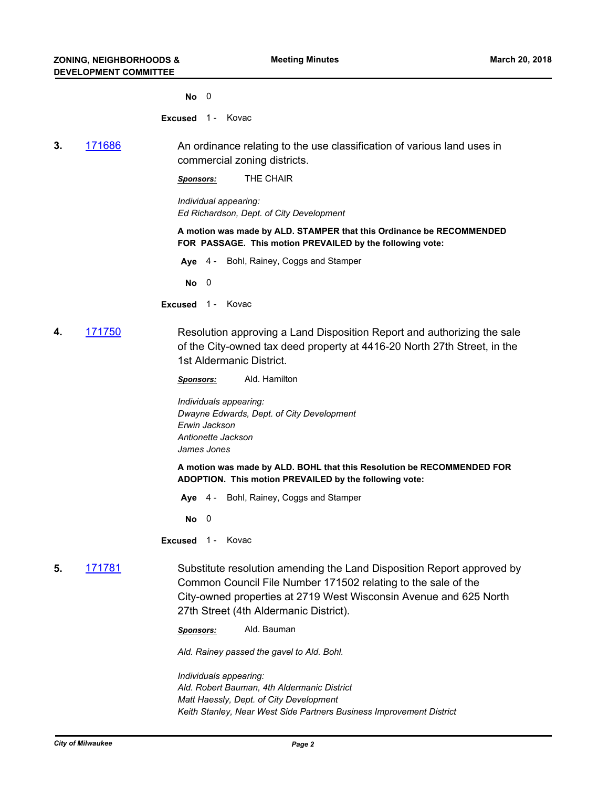**No** 0

**Excused** 1 - Kovac

**3.** [171686](http://milwaukee.legistar.com/gateway.aspx?m=l&id=/matter.aspx?key=47560) An ordinance relating to the use classification of various land uses in commercial zoning districts.

*Sponsors:* THE CHAIR

*Individual appearing: Ed Richardson, Dept. of City Development*

**A motion was made by ALD. STAMPER that this Ordinance be RECOMMENDED FOR PASSAGE. This motion PREVAILED by the following vote:**

**Aye** 4 - Bohl, Rainey, Coggs and Stamper

**No** 0

- **Excused** 1 Kovac
- **4.** [171750](http://milwaukee.legistar.com/gateway.aspx?m=l&id=/matter.aspx?key=47631) Resolution approving a Land Disposition Report and authorizing the sale of the City-owned tax deed property at 4416-20 North 27th Street, in the 1st Aldermanic District.

*Sponsors:* Ald. Hamilton

*Individuals appearing: Dwayne Edwards, Dept. of City Development Erwin Jackson Antionette Jackson James Jones*

**A motion was made by ALD. BOHL that this Resolution be RECOMMENDED FOR ADOPTION. This motion PREVAILED by the following vote:**

**Aye** 4 - Bohl, Rainey, Coggs and Stamper

**No** 0

**Excused** 1 - Kovac

**5.** [171781](http://milwaukee.legistar.com/gateway.aspx?m=l&id=/matter.aspx?key=47664) Substitute resolution amending the Land Disposition Report approved by Common Council File Number 171502 relating to the sale of the City-owned properties at 2719 West Wisconsin Avenue and 625 North 27th Street (4th Aldermanic District).

*Sponsors:* Ald. Bauman

*Ald. Rainey passed the gavel to Ald. Bohl.*

*Individuals appearing: Ald. Robert Bauman, 4th Aldermanic District Matt Haessly, Dept. of City Development Keith Stanley, Near West Side Partners Business Improvement District*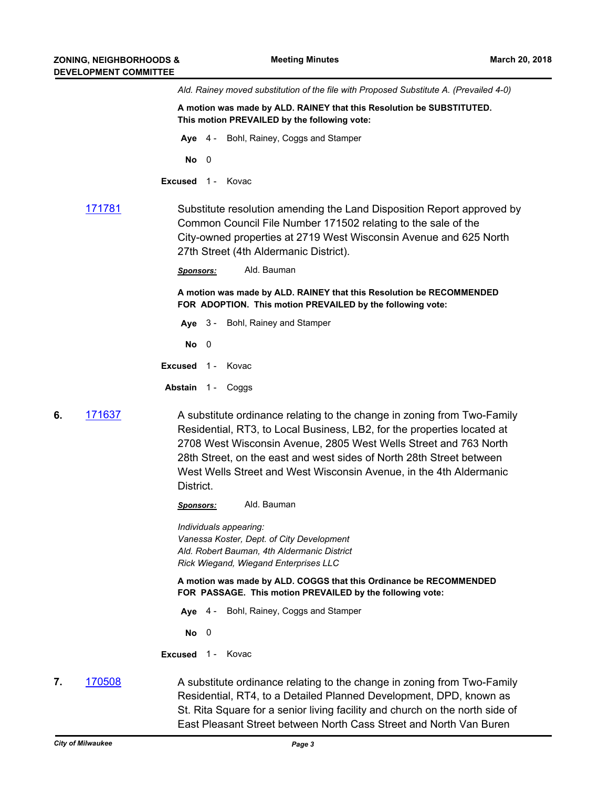|    |        | Ald. Rainey moved substitution of the file with Proposed Substitute A. (Prevailed 4-0)                                                                                                                                                                                                                                                                                            |
|----|--------|-----------------------------------------------------------------------------------------------------------------------------------------------------------------------------------------------------------------------------------------------------------------------------------------------------------------------------------------------------------------------------------|
|    |        | A motion was made by ALD. RAINEY that this Resolution be SUBSTITUTED.<br>This motion PREVAILED by the following vote:                                                                                                                                                                                                                                                             |
|    |        | Aye 4 - Bohl, Rainey, Coggs and Stamper                                                                                                                                                                                                                                                                                                                                           |
|    |        | $No$ 0                                                                                                                                                                                                                                                                                                                                                                            |
|    |        | Excused 1- Kovac                                                                                                                                                                                                                                                                                                                                                                  |
|    | 171781 | Substitute resolution amending the Land Disposition Report approved by<br>Common Council File Number 171502 relating to the sale of the<br>City-owned properties at 2719 West Wisconsin Avenue and 625 North<br>27th Street (4th Aldermanic District).                                                                                                                            |
|    |        | Ald. Bauman<br>Sponsors:                                                                                                                                                                                                                                                                                                                                                          |
|    |        | A motion was made by ALD. RAINEY that this Resolution be RECOMMENDED<br>FOR ADOPTION. This motion PREVAILED by the following vote:                                                                                                                                                                                                                                                |
|    |        | Bohl, Rainey and Stamper<br>Aye $3 -$                                                                                                                                                                                                                                                                                                                                             |
|    |        | No<br>$\overline{\phantom{0}}$                                                                                                                                                                                                                                                                                                                                                    |
|    |        | Kovac<br>Excused 1-                                                                                                                                                                                                                                                                                                                                                               |
|    |        | Abstain 1 - Coggs                                                                                                                                                                                                                                                                                                                                                                 |
| 6. | 171637 | A substitute ordinance relating to the change in zoning from Two-Family<br>Residential, RT3, to Local Business, LB2, for the properties located at<br>2708 West Wisconsin Avenue, 2805 West Wells Street and 763 North<br>28th Street, on the east and west sides of North 28th Street between<br>West Wells Street and West Wisconsin Avenue, in the 4th Aldermanic<br>District. |
|    |        | Ald. Bauman<br><u>Sponsors:</u>                                                                                                                                                                                                                                                                                                                                                   |
|    |        | Individuals appearing:<br>Vanessa Koster, Dept. of City Development<br>Ald. Robert Bauman, 4th Aldermanic District<br>Rick Wiegand, Wiegand Enterprises LLC                                                                                                                                                                                                                       |
|    |        | A motion was made by ALD. COGGS that this Ordinance be RECOMMENDED<br>FOR PASSAGE. This motion PREVAILED by the following vote:                                                                                                                                                                                                                                                   |
|    |        | Bohl, Rainey, Coggs and Stamper<br>Aye $4-$                                                                                                                                                                                                                                                                                                                                       |
|    |        | No<br>$\overline{\phantom{0}}$                                                                                                                                                                                                                                                                                                                                                    |
|    |        | Kovac<br>$Excused$ 1 -                                                                                                                                                                                                                                                                                                                                                            |
| 7. | 170508 | A substitute ordinance relating to the change in zoning from Two-Family<br>Residential, RT4, to a Detailed Planned Development, DPD, known as<br>St. Rita Square for a senior living facility and church on the north side of                                                                                                                                                     |

East Pleasant Street between North Cass Street and North Van Buren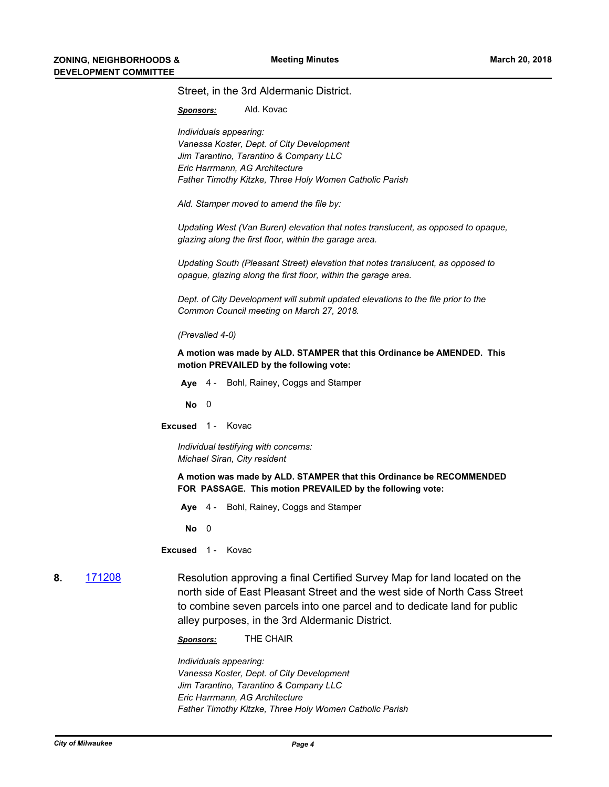|              | Street, in the 3rd Aldermanic District.                                                                                                                                                                                                                                               |
|--------------|---------------------------------------------------------------------------------------------------------------------------------------------------------------------------------------------------------------------------------------------------------------------------------------|
|              | Ald. Kovac<br>Sponsors:                                                                                                                                                                                                                                                               |
|              | Individuals appearing:<br>Vanessa Koster, Dept. of City Development<br>Jim Tarantino, Tarantino & Company LLC<br>Eric Harrmann, AG Architecture<br>Father Timothy Kitzke, Three Holy Women Catholic Parish                                                                            |
|              | Ald. Stamper moved to amend the file by:                                                                                                                                                                                                                                              |
|              | Updating West (Van Buren) elevation that notes translucent, as opposed to opaque,<br>glazing along the first floor, within the garage area.                                                                                                                                           |
|              | Updating South (Pleasant Street) elevation that notes translucent, as opposed to<br>opague, glazing along the first floor, within the garage area.                                                                                                                                    |
|              | Dept. of City Development will submit updated elevations to the file prior to the<br>Common Council meeting on March 27, 2018.                                                                                                                                                        |
|              | (Prevalied 4-0)                                                                                                                                                                                                                                                                       |
|              | A motion was made by ALD. STAMPER that this Ordinance be AMENDED. This<br>motion PREVAILED by the following vote:                                                                                                                                                                     |
|              | Aye 4 - Bohl, Rainey, Coggs and Stamper                                                                                                                                                                                                                                               |
|              | $No$ 0                                                                                                                                                                                                                                                                                |
|              | Excused 1- Kovac                                                                                                                                                                                                                                                                      |
|              | Individual testifying with concerns:<br>Michael Siran, City resident                                                                                                                                                                                                                  |
|              | A motion was made by ALD. STAMPER that this Ordinance be RECOMMENDED<br>FOR PASSAGE. This motion PREVAILED by the following vote:                                                                                                                                                     |
|              | Aye 4 - Bohl, Rainey, Coggs and Stamper                                                                                                                                                                                                                                               |
|              | $No$ 0                                                                                                                                                                                                                                                                                |
|              | Excused 1- Kovac                                                                                                                                                                                                                                                                      |
| 171208<br>8. | Resolution approving a final Certified Survey Map for land located on the<br>north side of East Pleasant Street and the west side of North Cass Street<br>to combine seven parcels into one parcel and to dedicate land for public<br>alley purposes, in the 3rd Aldermanic District. |

*Sponsors:* THE CHAIR

*Individuals appearing: Vanessa Koster, Dept. of City Development Jim Tarantino, Tarantino & Company LLC Eric Harrmann, AG Architecture Father Timothy Kitzke, Three Holy Women Catholic Parish*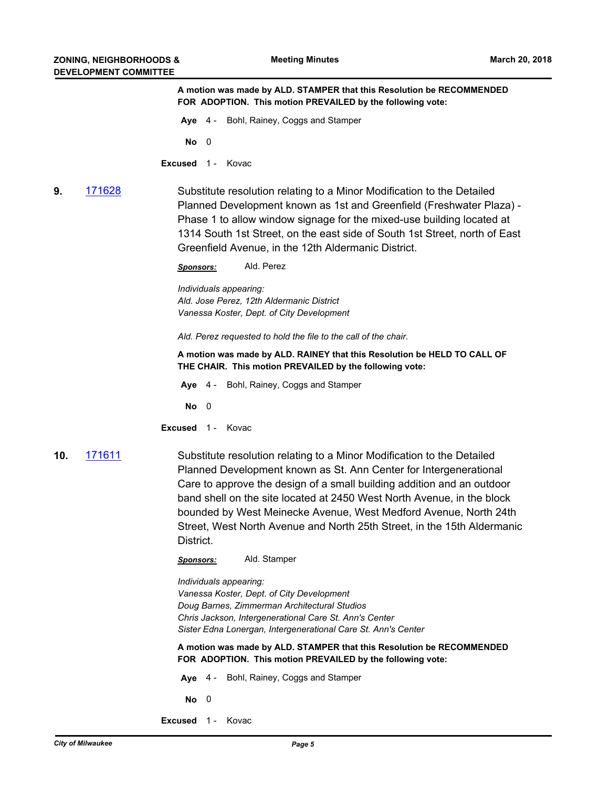**A motion was made by ALD. STAMPER that this Resolution be RECOMMENDED FOR ADOPTION. This motion PREVAILED by the following vote:**

**Aye** 4 - Bohl, Rainey, Coggs and Stamper

**No** 0

**Excused** 1- Kovac

**9.** [171628](http://milwaukee.legistar.com/gateway.aspx?m=l&id=/matter.aspx?key=47490) Substitute resolution relating to a Minor Modification to the Detailed Planned Development known as 1st and Greenfield (Freshwater Plaza) - Phase 1 to allow window signage for the mixed-use building located at 1314 South 1st Street, on the east side of South 1st Street, north of East Greenfield Avenue, in the 12th Aldermanic District.

*Sponsors:* Ald. Perez

*Individuals appearing: Ald. Jose Perez, 12th Aldermanic District Vanessa Koster, Dept. of City Development*

*Ald. Perez requested to hold the file to the call of the chair.*

**A motion was made by ALD. RAINEY that this Resolution be HELD TO CALL OF THE CHAIR. This motion PREVAILED by the following vote:**

**Aye** 4 - Bohl, Rainey, Coggs and Stamper

**No** 0

**Excused** 1 - Kovac

**10.** [171611](http://milwaukee.legistar.com/gateway.aspx?m=l&id=/matter.aspx?key=47473) Substitute resolution relating to a Minor Modification to the Detailed Planned Development known as St. Ann Center for Intergenerational Care to approve the design of a small building addition and an outdoor band shell on the site located at 2450 West North Avenue, in the block bounded by West Meinecke Avenue, West Medford Avenue, North 24th Street, West North Avenue and North 25th Street, in the 15th Aldermanic District.

*Sponsors:* Ald. Stamper

*Individuals appearing: Vanessa Koster, Dept. of City Development Doug Barnes, Zimmerman Architectural Studios Chris Jackson, Intergenerational Care St. Ann's Center Sister Edna Lonergan, Intergenerational Care St. Ann's Center*

**A motion was made by ALD. STAMPER that this Resolution be RECOMMENDED FOR ADOPTION. This motion PREVAILED by the following vote:**

**Aye** 4 - Bohl, Rainey, Coggs and Stamper

**No** 0

**Excused** 1 - Kovac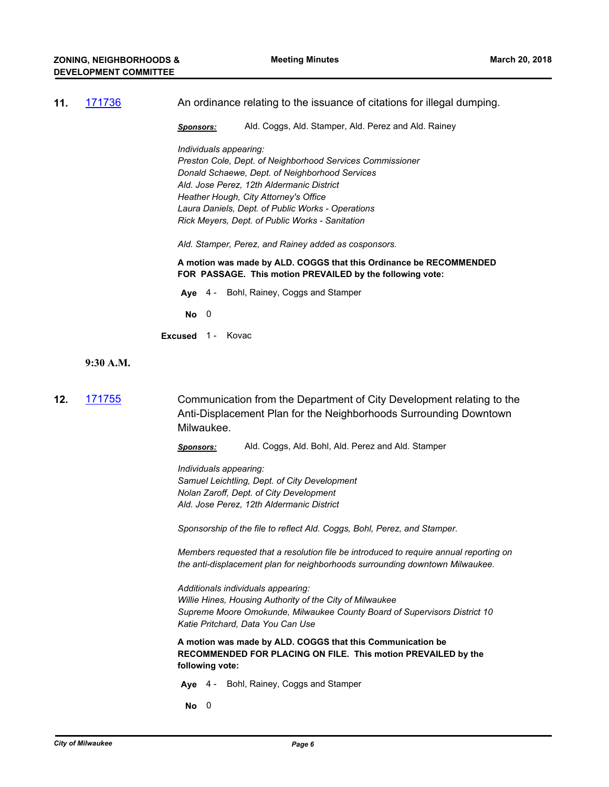| 11. 171736 | An ordinance relating to the issuance of citations for illegal dumping. |
|------------|-------------------------------------------------------------------------|
|            |                                                                         |

*Sponsors:* Ald. Coggs, Ald. Stamper, Ald. Perez and Ald. Rainey

*Individuals appearing: Preston Cole, Dept. of Neighborhood Services Commissioner Donald Schaewe, Dept. of Neighborhood Services Ald. Jose Perez, 12th Aldermanic District Heather Hough, City Attorney's Office Laura Daniels, Dept. of Public Works - Operations Rick Meyers, Dept. of Public Works - Sanitation*

*Ald. Stamper, Perez, and Rainey added as cosponsors.*

**A motion was made by ALD. COGGS that this Ordinance be RECOMMENDED FOR PASSAGE. This motion PREVAILED by the following vote:**

**Aye** 4 - Bohl, Rainey, Coggs and Stamper

**No** 0

**Excused** 1- Kovac

**9:30 A.M.**

**12.** [171755](http://milwaukee.legistar.com/gateway.aspx?m=l&id=/matter.aspx?key=47636) Communication from the Department of City Development relating to the Anti-Displacement Plan for the Neighborhoods Surrounding Downtown Milwaukee.

*Sponsors:* Ald. Coggs, Ald. Bohl, Ald. Perez and Ald. Stamper

*Individuals appearing: Samuel Leichtling, Dept. of City Development Nolan Zaroff, Dept. of City Development Ald. Jose Perez, 12th Aldermanic District*

*Sponsorship of the file to reflect Ald. Coggs, Bohl, Perez, and Stamper.*

*Members requested that a resolution file be introduced to require annual reporting on the anti-displacement plan for neighborhoods surrounding downtown Milwaukee.*

*Additionals individuals appearing: Willie Hines, Housing Authority of the City of Milwaukee Supreme Moore Omokunde, Milwaukee County Board of Supervisors District 10 Katie Pritchard, Data You Can Use*

**A motion was made by ALD. COGGS that this Communication be RECOMMENDED FOR PLACING ON FILE. This motion PREVAILED by the following vote:**

**Aye** 4 - Bohl, Rainey, Coggs and Stamper

**No** 0